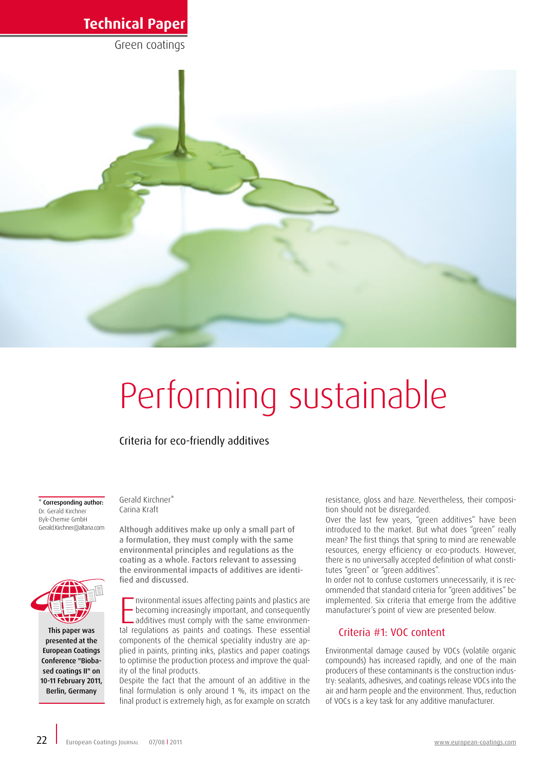Green coatings



# Performing sustainable

## Criteria for eco-friendly additives

\* Corresponding author: Dr. Gerald Kirchner Byk-Chemie GmbH Gerald.Kirchner@altana.com



This paper was presented at the European Coatings Conference "Biobased coatings II" on 10-11 February 2011, Berlin, Germany

Gerald Kirchner\* Carina Kraft

Although additives make up only a small part of a formulation, they must comply with the same environmental principles and regulations as the coating as a whole. Factors relevant to assessing the environmental impacts of additives are identified and discussed.

Invironmental issues affecting paints and plastics are<br>becoming increasingly important, and consequently<br>additives must comply with the same environmen-<br>tal regulations as paints and coatings. These essential nvironmental issues affecting paints and plastics are becoming increasingly important, and consequently additives must comply with the same environmencomponents of the chemical speciality industry are applied in paints, printing inks, plastics and paper coatings to optimise the production process and improve the quality of the final products.

Despite the fact that the amount of an additive in the final formulation is only around 1 %, its impact on the final product is extremely high, as for example on scratch resistance, gloss and haze. Nevertheless, their composition should not be disregarded.

Over the last few years, "green additives" have been introduced to the market. But what does "green" really mean? The first things that spring to mind are renewable resources, energy efficiency or eco-products. However, there is no universally accepted definition of what constitutes "green" or "green additives".

In order not to confuse customers unnecessarily, it is recommended that standard criteria for "green additives" be implemented. Six criteria that emerge from the additive manufacturer's point of view are presented below.

#### Criteria #1: VOC content

Environmental damage caused by VOCs (volatile organic compounds) has increased rapidly, and one of the main producers of these contaminants is the construction industry: sealants, adhesives, and coatings release VOCs into the air and harm people and the environment. Thus, reduction of VOCs is a key task for any additive manufacturer.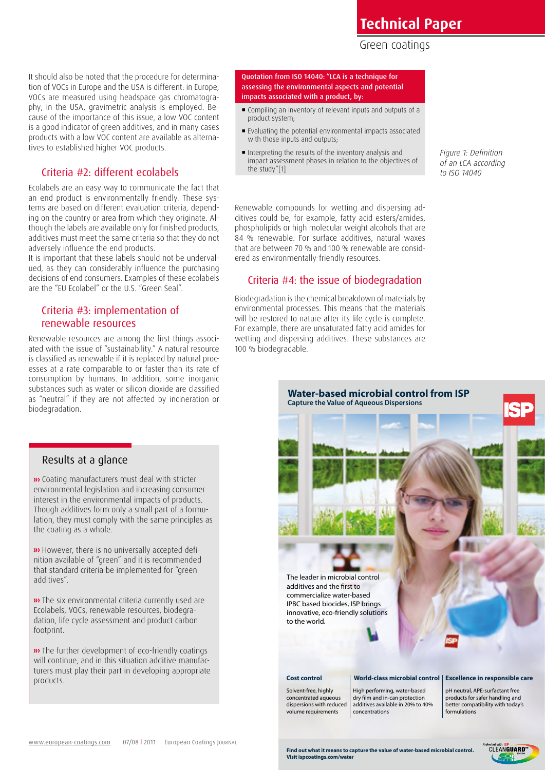## Green coatings

It should also be noted that the procedure for determination of VOCs in Europe and the USA is different: in Europe, VOCs are measured using headspace gas chromatography; in the USA, gravimetric analysis is employed. Because of the importance of this issue, a low VOC content is a good indicator of green additives, and in many cases products with a low VOC content are available as alternatives to established higher VOC products.

#### Criteria #2: different ecolabels

Ecolabels are an easy way to communicate the fact that an end product is environmentally friendly. These systems are based on different evaluation criteria, depending on the country or area from which they originate. Although the labels are available only for finished products, additives must meet the same criteria so that they do not adversely influence the end products.

It is important that these labels should not be undervalued, as they can considerably influence the purchasing decisions of end consumers. Examples of these ecolabels are the "EU Ecolabel" or the U.S. "Green Seal".

#### Criteria #3: implementation of renewable resources

Renewable resources are among the first things associated with the issue of "sustainability." A natural resource is classified as renewable if it is replaced by natural processes at a rate comparable to or faster than its rate of consumption by humans. In addition, some inorganic substances such as water or silicon dioxide are classified as "neutral" if they are not affected by incineration or biodegradation.

## Results at a glance

 Coating manufacturers must deal with stricter environmental legislation and increasing consumer interest in the environmental impacts of products. Though additives form only a small part of a formulation, they must comply with the same principles as the coating as a whole.

**»** However, there is no universally accepted definition available of "green" and it is recommended that standard criteria be implemented for "green additives".

**»** The six environmental criteria currently used are Ecolabels, VOCs, renewable resources, biodegradation, life cycle assessment and product carbon footprint.

**»** The further development of eco-friendly coatings will continue, and in this situation additive manufacturers must play their part in developing appropriate products.

Quotation from ISO 14040: "LCA is a technique for assessing the environmental aspects and potential impacts associated with a product, by:

- Compiling an inventory of relevant inputs and outputs of a product system;
- Evaluating the potential environmental impacts associated with those inputs and outputs;
- Interpreting the results of the inventory analysis and impact assessment phases in relation to the objectives of the study"[1]

Renewable compounds for wetting and dispersing additives could be, for example, fatty acid esters/amides, phospholipids or high molecular weight alcohols that are 84 % renewable. For surface additives, natural waxes that are between 70 % and 100 % renewable are considered as environmentally-friendly resources.

## Criteria #4: the issue of biodegradation

Biodegradation is the chemical breakdown of materials by environmental processes. This means that the materials will be restored to nature after its life cycle is complete. For example, there are unsaturated fatty acid amides for wetting and dispersing additives. These substances are 100 % biodegradable.



*Figure 1: Definition of an LCA according to ISO 14040*

www.european-coatings.com 07/08 | 2011 European Coatings Journal 2014 **European Coatings Communish**<br>**23 Find out what it means to capture the value of water-based microbial control. CLEANGUARD** 

**Find out what it means to capture the value of water-based microbial control. Visit ispcoatings.com/water**



formulations

volume requirements

additives available in 20% to 40% concentrations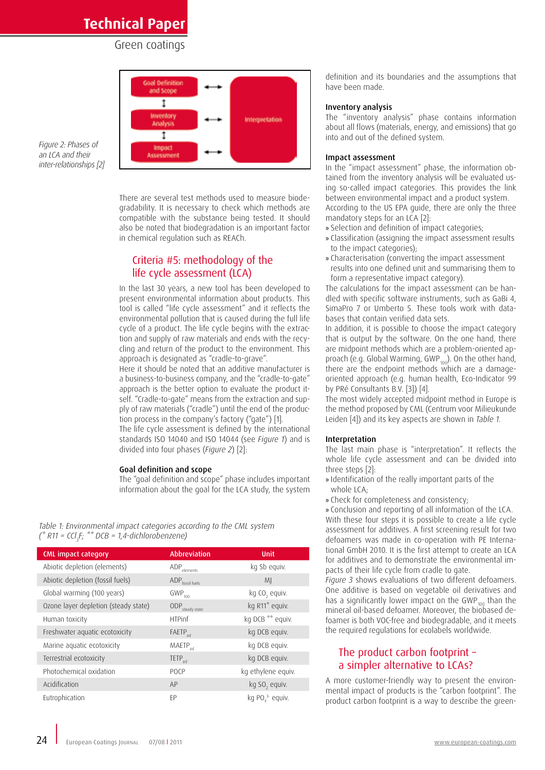#### Green coatings



*Figure 2: Phases of an LCA and their inter-relationships [2]*

> There are several test methods used to measure biodegradability. It is necessary to check which methods are compatible with the substance being tested. It should also be noted that biodegradation is an important factor in chemical regulation such as REACh.

## Criteria #5: methodology of the life cycle assessment (LCA)

In the last 30 years, a new tool has been developed to present environmental information about products. This tool is called "life cycle assessment" and it reflects the environmental pollution that is caused during the full life cycle of a product. The life cycle begins with the extraction and supply of raw materials and ends with the recycling and return of the product to the environment. This approach is designated as "cradle-to-grave".

Here it should be noted that an additive manufacturer is a business-to-business company, and the "cradle-to-gate" approach is the better option to evaluate the product itself. "Cradle-to-gate" means from the extraction and supply of raw materials ("cradle") until the end of the production process in the company's factory ("gate") [1].

The life cycle assessment is defined by the international standards ISO 14040 and ISO 14044 (see *Figure 1*) and is divided into four phases (*Figure 2*) [2]:

#### Goal definition and scope

The "goal definition and scope" phase includes important information about the goal for the LCA study, the system

*Table 1: Environmental impact categories according to the CML system (\* R11 = CCl3 F; \*\* DCB = 1,4-dichlorobenzene)*

| <b>CML</b> impact category           | <b>Abbreviation</b>                | <b>Unit</b>                            |
|--------------------------------------|------------------------------------|----------------------------------------|
| Abiotic depletion (elements)         | $\mathsf{ADP}_{\mathsf{elements}}$ | kg Sb equiv.                           |
| Abiotic depletion (fossil fuels)     | ADP <sub>fossil fuels</sub>        | MJ                                     |
| Global warming (100 years)           | $GWP$ <sub>100</sub>               | kg CO <sub>2</sub> equiv.              |
| Ozone layer depletion (steady state) | $\text{ODP}_{\text{steady state}}$ | kg R11* equiv.                         |
| Human toxicity                       | <b>HTPinf</b>                      | kg DCB ** equiv.                       |
| Freshwater aquatic ecotoxicity       | <b>FAETP</b> <sub>inf</sub>        | kg DCB equiv.                          |
| Marine aquatic ecotoxicity           | <b>MAETP</b> <sub>inf</sub>        | kg DCB equiv.                          |
| Terrestrial ecotoxicity              | TETP <sub>inf</sub>                | kg DCB equiv.                          |
| Photochemical oxidation              | POCP                               | kg ethylene equiv.                     |
| Acidification                        | AP                                 | kg SO <sub>2</sub> equiv.              |
| Eutrophication                       | FP.                                | kg PO <sub>4</sub> <sup>3</sup> equiv. |

definition and its boundaries and the assumptions that have been made.

#### Inventory analysis

The "inventory analysis" phase contains information about all flows (materials, energy, and emissions) that go into and out of the defined system.

#### Impact assessment

In the "impact assessment" phase, the information obtained from the inventory analysis will be evaluated using so-called impact categories. This provides the link between environmental impact and a product system. According to the US EPA guide, there are only the three mandatory steps for an LCA [2]:

- » Selection and definition of impact categories;
- » Classification (assigning the impact assessment results to the impact categories);
- » Characterisation (converting the impact assessment results into one defined unit and summarising them to form a representative impact category).

The calculations for the impact assessment can be handled with specific software instruments, such as GaBi 4, SimaPro 7 or Umberto 5. These tools work with databases that contain verified data sets.

In addition, it is possible to choose the impact category that is output by the software. On the one hand, there are midpoint methods which are a problem-oriented approach (e.g. Global Warming, GWP $_{100}$ ). On the other hand, there are the endpoint methods which are a damageoriented approach (e.g. human health, Eco-Indicator 99 by PRé Consultants B.V. [3]) [4].

The most widely accepted midpoint method in Europe is the method proposed by CML (Centrum voor Milieukunde Leiden [4]) and its key aspects are shown in *Table 1.*

#### Interpretation

The last main phase is "interpretation". It reflects the whole life cycle assessment and can be divided into three steps [2]:

- » Identification of the really important parts of the whole LCA;
- » Check for completeness and consistency;

» Conclusion and reporting of all information of the LCA. With these four steps it is possible to create a life cycle assessment for additives. A first screening result for two defoamers was made in co-operation with PE International GmbH 2010. It is the first attempt to create an LCA for additives and to demonstrate the environmental impacts of their life cycle from cradle to gate.

*Figure 3* shows evaluations of two different defoamers. One additive is based on vegetable oil derivatives and has a significantly lower impact on the GWP $_{100}$  than the mineral oil-based defoamer. Moreover, the biobased defoamer is both VOC-free and biodegradable, and it meets the required regulations for ecolabels worldwide.

#### The product carbon footprint – a simpler alternative to LCAs?

A more customer-friendly way to present the environmental impact of products is the "carbon footprint". The product carbon footprint is a way to describe the green-